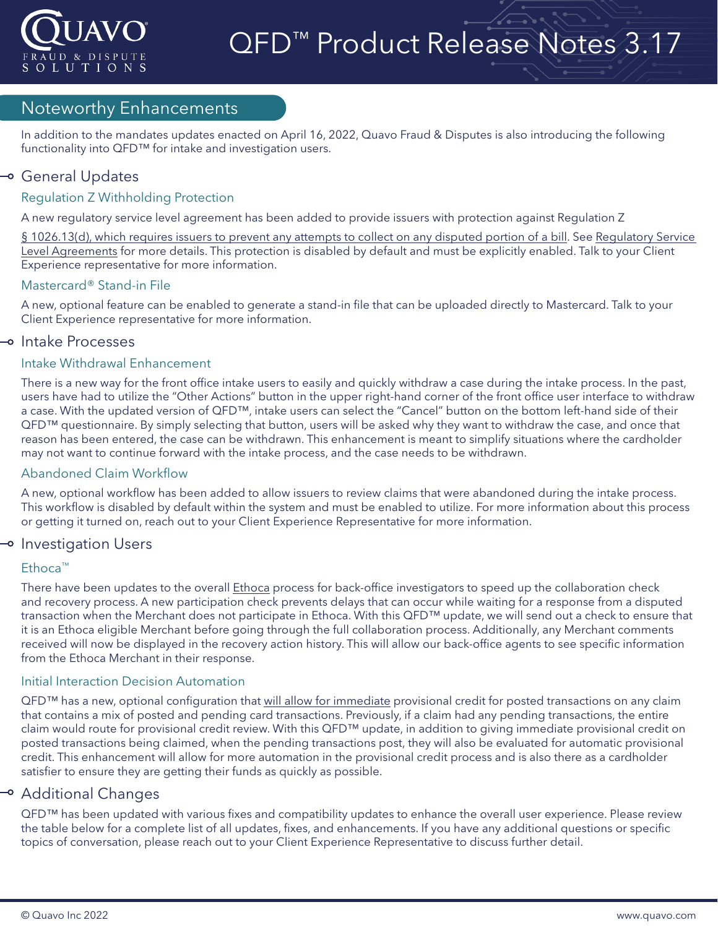

# QFD<sup>™</sup> Product Release Notes 3.17

#### Noteworthy Enhancements

In addition to the mandates updates enacted on April 16, 2022, Quavo Fraud & Disputes is also introducing the following functionality into QFD™ for intake and investigation users.

#### → General Updates

#### Regulation Z Withholding Protection

A new regulatory service level agreement has been added to provide issuers with protection against Regulation Z

§ 1026.13(d), [which requires issuers to prevent any attempts to collect on any disputed portion of a bill.](https://www.consumerfinance.gov/rules-policy/regulations/1026/13/#d) See Regulatory Service [Level Agreements](https://confluence.quavo.com/display/QEK/Regulatory+Service+Level+Agreements) for more details. This protection is disabled by default and must be explicitly enabled. Talk to your Client Experience representative for more information.

#### Mastercard® Stand-in File

A new, optional feature can be enabled to generate a stand-in file that can be uploaded directly to Mastercard. Talk to your Client Experience representative for more information.

#### → Intake Processes

#### Intake Withdrawal Enhancement

There is a new way for the front office intake users to easily and quickly withdraw a case during the intake process. In the past, users have had to utilize the "Other Actions" button in the upper right-hand corner of the front office user interface to withdraw a case. With the updated version of QFD™, intake users can select the "Cancel" button on the bottom left-hand side of their QFD™ questionnaire. By simply selecting that button, users will be asked why they want to withdraw the case, and once that reason has been entered, the case can be withdrawn. This enhancement is meant to simplify situations where the cardholder may not want to continue forward with the intake process, and the case needs to be withdrawn.

#### Abandoned Claim Workflow

A new, optional workflow has been added to allow issuers to review claims that were abandoned during the intake process. This workflow is disabled by default within the system and must be enabled to utilize. For more information about this process or getting it turned on, reach out to your Client Experience Representative for more information.

#### $\multimap$  Investigation Users

#### Ethoca™

There have been updates to the overall [Ethoca](https://confluence.quavo.com/display/QEK/Merchant+Collaboration) process for back-office investigators to speed up the collaboration check and recovery process. A new participation check prevents delays that can occur while waiting for a response from a disputed transaction when the Merchant does not participate in Ethoca. With this QFD™ update, we will send out a check to ensure that it is an Ethoca eligible Merchant before going through the full collaboration process. Additionally, any Merchant comments received will now be displayed in the recovery action history. This will allow our back-office agents to see specific information from the Ethoca Merchant in their response.

#### Initial Interaction Decision Automation

QFD™ has a new, optional configuration that [will allow for immediate](https://confluence.quavo.com/display/QEK/Initial+Interaction+Decision) provisional credit for posted transactions on any claim that contains a mix of posted and pending card transactions. Previously, if a claim had any pending transactions, the entire claim would route for provisional credit review. With this QFD™ update, in addition to giving immediate provisional credit on posted transactions being claimed, when the pending transactions post, they will also be evaluated for automatic provisional credit. This enhancement will allow for more automation in the provisional credit process and is also there as a cardholder satisfier to ensure they are getting their funds as quickly as possible.

#### → Additional Changes

QFD™ has been updated with various fixes and compatibility updates to enhance the overall user experience. Please review the table below for a complete list of all updates, fixes, and enhancements. If you have any additional questions or specific topics of conversation, please reach out to your Client Experience Representative to discuss further detail.